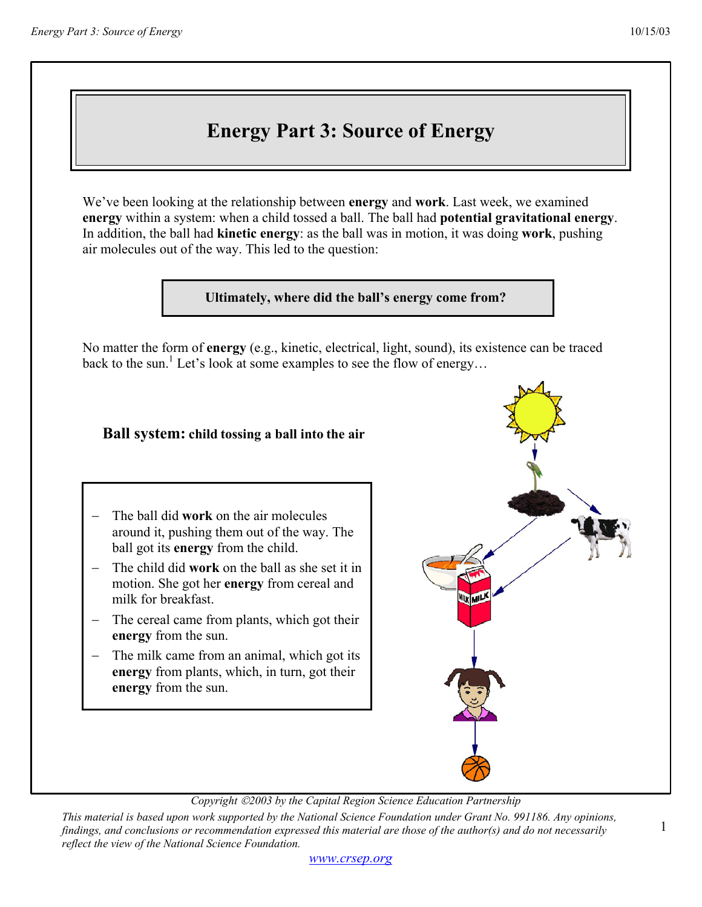# **Energy Part 3: Source of Energy**

We've been looking at the relationship between **energy** and **work**. Last week, we examined **energy** within a system: when a child tossed a ball. The ball had **potential gravitational energy**. In addition, the ball had **kinetic energy**: as the ball was in motion, it was doing **work**, pushing air molecules out of the way. This led to the question:

### **Ultimately, where did the ball's energy come from?**

No matter the form of **energy** (e.g., kinetic, electrical, light, sound), its existence can be traced back to the sun.<sup>1</sup> Let's look at some examples to see the flow of energy...

## **Ball system: child tossing a ball into the air**

- − The ball did **work** on the air molecules around it, pushing them out of the way. The ball got its **energy** from the child.
- The child did **work** on the ball as she set it in motion. She got her **energy** from cereal and milk for breakfast.
- − The cereal came from plants, which got their **energy** from the sun.
- The milk came from an animal, which got its **energy** from plants, which, in turn, got their **energy** from the sun.



*Copyright 2003 by the Capital Region Science Education Partnership* 

*This material is based upon work supported by the National Science Foundation under Grant No. 991186. Any opinions, findings, and conclusions or recommendation expressed this material are those of the author(s) and do not necessarily reflect the view of the National Science Foundation.* 

1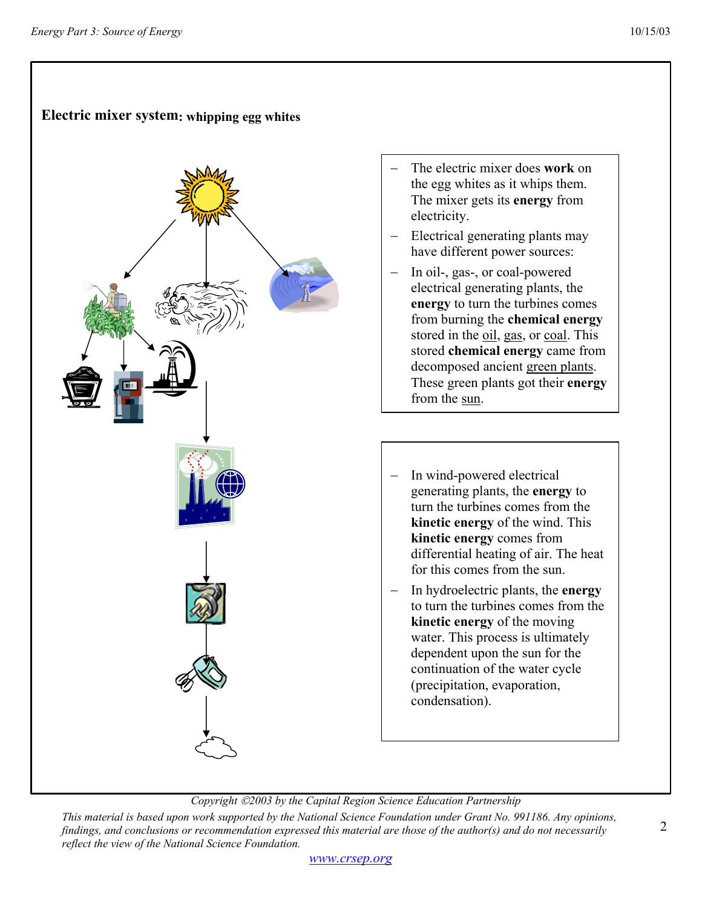# **Electric mixer system: whipping egg whites**

- The electric mixer does **work** on the egg whites as it whips them. The mixer gets its **energy** from electricity.
- Electrical generating plants may have different power sources:
- − In oil-, gas-, or coal-powered electrical generating plants, the **energy** to turn the turbines comes from burning the **chemical energy** stored in the oil, gas, or coal. This stored **chemical energy** came from decomposed ancient green plants. These green plants got their **energy** from the sun.
- In wind-powered electrical generating plants, the **energy** to turn the turbines comes from the **kinetic energy** of the wind. This **kinetic energy** comes from differential heating of air. The heat for this comes from the sun.
- − In hydroelectric plants, the **energy** to turn the turbines comes from the **kinetic energy** of the moving water. This process is ultimately dependent upon the sun for the continuation of the water cycle (precipitation, evaporation, condensation).

### *Copyright 2003 by the Capital Region Science Education Partnership*

*This material is based upon work supported by the National Science Foundation under Grant No. 991186. Any opinions, findings, and conclusions or recommendation expressed this material are those of the author(s) and do not necessarily reflect the view of the National Science Foundation.*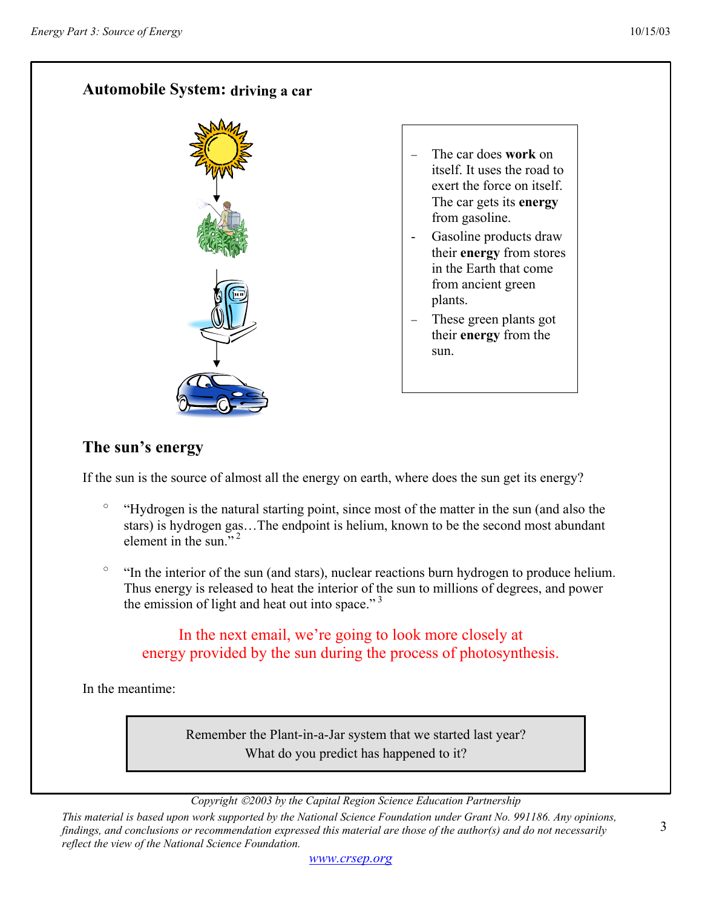# **Automobile System: driving a car**



− The car does **work** on itself. It uses the road to exert the force on itself. The car gets its **energy** from gasoline.

- Gasoline products draw their **energy** from stores in the Earth that come from ancient green plants.
- These green plants got their **energy** from the sun.

# **The sun's energy**

If the sun is the source of almost all the energy on earth, where does the sun get its energy?

- "Hydrogen is the natural starting point, since most of the matter in the sun (and also the stars) is hydrogen gas…The endpoint is helium, known to be the second most abundant element in the sun  $"^2$
- "In the interior of the sun (and stars), nuclear reactions burn hydrogen to produce helium. Thus energy is released to heat the interior of the sun to millions of degrees, and power the emission of light and heat out into space."<sup>3</sup>

# In the next email, we're going to look more closely at energy provided by the sun during the process of photosynthesis.

In the meantime:

Remember the Plant-in-a-Jar system that we started last year? What do you predict has happened to it?

*Copyright 2003 by the Capital Region Science Education Partnership* 

*This material is based upon work supported by the National Science Foundation under Grant No. 991186. Any opinions, findings, and conclusions or recommendation expressed this material are those of the author(s) and do not necessarily reflect the view of the National Science Foundation.*